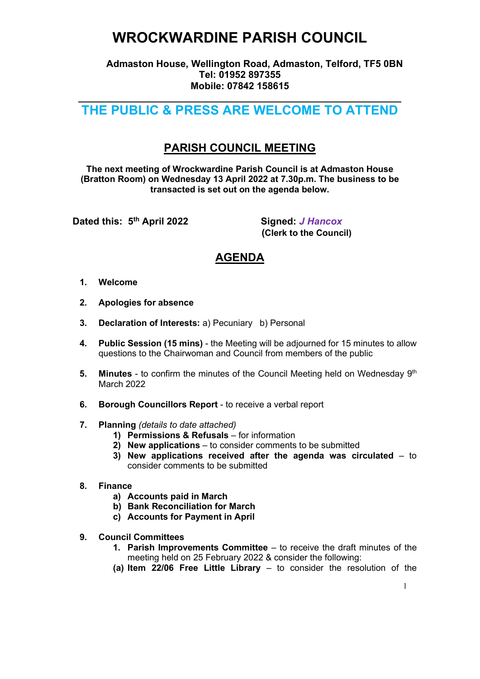## WROCKWARDINE PARISH COUNCIL

 Admaston House, Wellington Road, Admaston, Telford, TF5 0BN Tel: 01952 897355 Mobile: 07842 158615

#### $\overline{\phantom{a}}$  , and the contribution of the contribution of the contribution of the contribution of the contribution of the contribution of the contribution of the contribution of the contribution of the contribution of the THE PUBLIC & PRESS ARE WELCOME TO ATTEND

### PARISH COUNCIL MEETING

The next meeting of Wrockwardine Parish Council is at Admaston House (Bratton Room) on Wednesday 13 April 2022 at 7.30p.m. The business to be transacted is set out on the agenda below.

Dated this: 5<sup>th</sup> April 2022 Signed: J Hancox

(Clerk to the Council)

### AGENDA

- 1. Welcome
- 2. Apologies for absence
- 3. Declaration of Interests: a) Pecuniary b) Personal
- 4. Public Session (15 mins) the Meeting will be adjourned for 15 minutes to allow questions to the Chairwoman and Council from members of the public
- 5. Minutes to confirm the minutes of the Council Meeting held on Wednesday  $9<sup>th</sup>$ March 2022
- 6. Borough Councillors Report to receive a verbal report
- 7. Planning (details to date attached)
	- 1) Permissions & Refusals for information
	- 2) New applications to consider comments to be submitted
	- 3) New applications received after the agenda was circulated  $-$  to consider comments to be submitted
- 8. Finance
	- a) Accounts paid in March
	- b) Bank Reconciliation for March
	- c) Accounts for Payment in April
- 9. Council Committees
	- 1. Parish Improvements Committee to receive the draft minutes of the meeting held on 25 February 2022 & consider the following:
	- (a) Item 22/06 Free Little Library to consider the resolution of the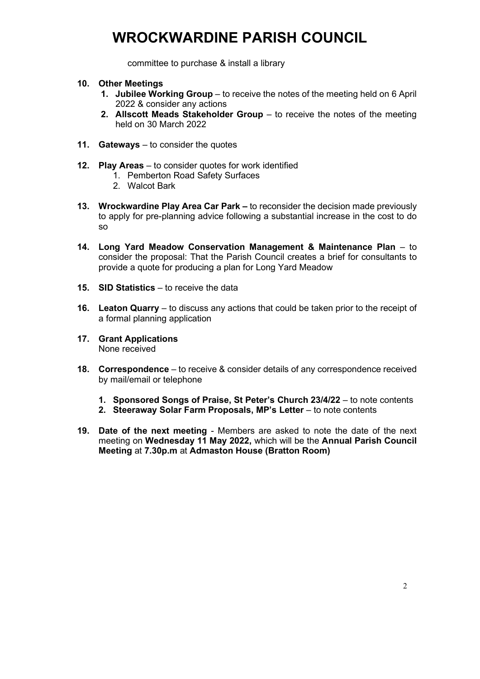# WROCKWARDINE PARISH COUNCIL

committee to purchase & install a library

- 10. Other Meetings
	- 1. Jubilee Working Group to receive the notes of the meeting held on 6 April 2022 & consider any actions
	- 2. Allscott Meads Stakeholder Group to receive the notes of the meeting held on 30 March 2022
- 11. Gateways to consider the quotes
- 12. Play Areas to consider quotes for work identified
	- 1. Pemberton Road Safety Surfaces
	- 2. Walcot Bark
- 13. Wrockwardine Play Area Car Park to reconsider the decision made previously to apply for pre-planning advice following a substantial increase in the cost to do so
- 14. Long Yard Meadow Conservation Management & Maintenance Plan to consider the proposal: That the Parish Council creates a brief for consultants to provide a quote for producing a plan for Long Yard Meadow
- 15. SID Statistics to receive the data
- 16. Leaton Quarry to discuss any actions that could be taken prior to the receipt of a formal planning application
- 17. Grant Applications None received
- 18. Correspondence to receive & consider details of any correspondence received by mail/email or telephone
	- 1. Sponsored Songs of Praise, St Peter's Church 23/4/22 to note contents
	- 2. Steeraway Solar Farm Proposals, MP's Letter to note contents
- 19. Date of the next meeting Members are asked to note the date of the next meeting on Wednesday 11 May 2022, which will be the Annual Parish Council Meeting at 7.30p.m at Admaston House (Bratton Room)